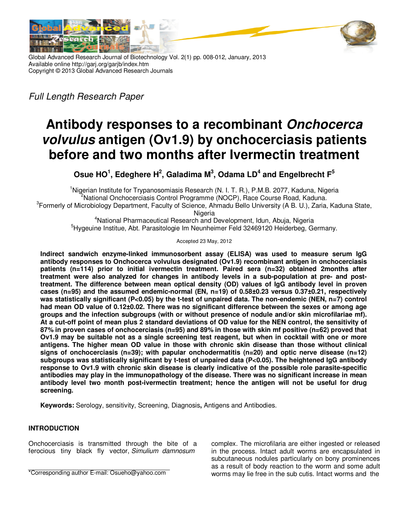

Global Advanced Research Journal of Biotechnology Vol. 2(1) pp. 008-012, January, 2013 Available online http://garj.org/garjb/index.htm Copyright © 2013 Global Advanced Research Journals

*Full Length Research Paper*

# **Antibody responses to a recombinant Onchocerca volvulus antigen (Ov1.9) by onchocerciasis patients before and two months after Ivermectin treatment**

**Osue HO<sup>1</sup> , Edeghere H<sup>2</sup> , Galadima M<sup>3</sup> , Odama LD<sup>4</sup> and Engelbrecht F<sup>5</sup>**

<sup>1</sup>Nigerian Institute for Trypanosomiasis Research (N. I. T. R.), P.M.B. 2077, Kaduna, Nigeria <sup>2</sup>National Onchocerciasis Control Programme (NOCP), Race Course Road, Kaduna. <sup>3</sup> Formerly of Microbiology Department, Faculty of Science, Ahmadu Bello University (A B. U.), Zaria, Kaduna State,

Nigeria

<sup>4</sup>National Pharmaceutical Research and Development, Idun, Abuja, Nigeria <sup>5</sup>Hygeuine Institue, Abt. Parasitologie Im Neunheimer Feld 32469120 Heiderbeg, Germany.

Accepted 23 May, 2012

**Indirect sandwich enzyme-linked immunosorbent assay (ELISA) was used to measure serum IgG antibody responses to Onchocerca volvulus designated (Ov1.9) recombinant antigen in onchocerciasis patients (n=114) prior to initial ivermectin treatment. Paired sera (n=32) obtained 2months after treatment were also analyzed for changes in antibody levels in a sub-population at pre- and posttreatment. The difference between mean optical density (OD) values of IgG antibody level in proven cases (n=95) and the assumed endemic-normal (EN, n=19) of 0.58±0.23 versus 0.37±0.21, respectively was statistically significant (P<0.05) by the t-test of unpaired data. The non-endemic (NEN, n=7) control had mean OD value of 0.12±0.02. There was no significant difference between the sexes or among age groups and the infection subgroups (with or without presence of nodule and/or skin microfilariae mf). At a cut-off point of mean plus 2 standard deviations of OD value for the NEN control, the sensitivity of 87% in proven cases of onchocerciasis (n=95) and 89% in those with skin mf positive (n=62) proved that Ov1.9 may be suitable not as a single screening test reagent, but when in cocktail with one or more antigens. The higher mean OD value in those with chronic skin disease than those without clinical signs of onchocerciasis (n=39); with papular onchodermatitis (n=20) and optic nerve disease (n=12) subgroups was statistically significant by t-test of unpaired data (P<0.05). The heightened IgG antibody response to Ov1.9 with chronic skin disease is clearly indicative of the possible role parasite-specific antibodies may play in the immunopathology of the disease. There was no significant increase in mean antibody level two month post-ivermectin treatment; hence the antigen will not be useful for drug screening.** 

**Keywords:** Serology, sensitivity, Screening, Diagnosis**,** Antigens and Antibodies.

## **INTRODUCTION**

Onchocerciasis is transmitted through the bite of a ferocious tiny black fly vector, *Simulium damnosum* 

complex. The microfilaria are either ingested or released in the process. Intact adult worms are encapsulated in subcutaneous nodules particularly on bony prominences as a result of body reaction to the worm and some adult worms may lie free in the sub cutis. Intact worms and the

<sup>\*</sup>Corresponding author E-mail: Osueho@yahoo.com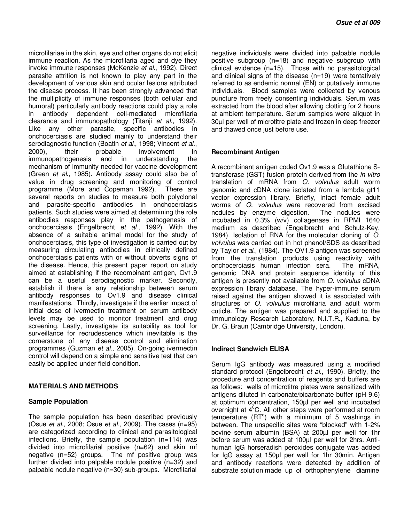microfilariae in the skin, eye and other organs do not elicit immune reaction. As the microfilaria aged and dye they invoke immune responses (McKenzie *et al*., 1992). Direct parasite attrition is not known to play any part in the development of various skin and ocular lesions attributed the disease process. It has been strongly advanced that the multiplicity of immune responses (both cellular and humoral) particularly antibody reactions could play a role in antibody dependent cell-mediated clearance and immunopathology (Titanji *et al*., 1992). Like any other parasite, specific antibodies in onchocerciasis are studied mainly to understand their serodiagnostic function (Boatin *et al*., 1998; Vincent *et al*., 2000), their probable involvement in<br>immunopathogenesis and in understanding the immunopathogenesis and in understanding the mechanism of immunity needed for vaccine development (Green *et al*., 1985). Antibody assay could also be of value in drug screening and monitoring of control programme (More and Copeman 1992). There are several reports on studies to measure both polyclonal and parasite-specific antibodies in onchocerciasis patients. Such studies were aimed at determining the role antibodies responses play in the pathogenesis of onchocerciasis (Engelbrecht *et al*., 1992). With the absence of a suitable animal model for the study of onchocerciasis, this type of investigation is carried out by measuring circulating antibodies in clinically defined onchocerciasis patients with or without obverts signs of the disease. Hence, this present paper report on study aimed at establishing if the recombinant antigen, Ov1.9 can be a useful serodiagnostic marker. Secondly, establish if there is any relationship between serum antibody responses to Ov1.9 and disease clinical manifestations. Thirdly, investigate if the earlier impact of initial dose of ivermectin treatment on serum antibody levels may be used to monitor treatment and drug screening. Lastly, investigate its suitability as tool for surveillance for recrudescence which inevitable is the cornerstone of any disease control and elimination programmes (Guzman *et al*., 2005). On-going ivermectin control will depend on a simple and sensitive test that can easily be applied under field condition.

#### **MATERIALS AND METHODS**

#### **Sample Population**

The sample population has been described previously (Osue *et al*., 2008; Osue *et al*., 2009). The cases (n=95) are categorized according to clinical and parasitological infections. Briefly, the sample population (n=114) was divided into microfilarial positive (n=62) and skin mf negative (n=52) groups. The mf positive group was further divided into palpable nodule positive (n=32) and palpable nodule negative (n=30) sub-groups. Microfilarial negative individuals were divided into palpable nodule positive subgroup (n=18) and negative subgroup with clinical evidence (n=15). Those with no parasitological and clinical signs of the disease (n=19) were tentatively referred to as endemic normal (EN) or putatively immune individuals. Blood samples were collected by venous puncture from freely consenting individuals. Serum was extracted from the blood after allowing clotting for 2 hours at ambient temperature. Serum samples were aliquot in 30µl per well of microtitre plate and frozen in deep freezer and thawed once just before use.

## **Recombinant Antigen**

A recombinant antigen coded Ov1.9 was a Glutathione Stransferase (GST) fusion protein derived from the *in vitro* translation of mRNA from *O*. *volvulus* adult worm genomic and cDNA clone isolated from a lambda gt11 vector expression library. Briefly, intact female adult worms of *O*. *volvulus* were recovered from excised nodules by enzyme digestion. The nodules were incubated in 0.3% (w/v) collagenase in RPMI 1640 medium as described (Engelbrecht and Schulz-Key, 1984). Isolation of RNA for the molecular cloning of *O*. *volvulus* was carried out in hot phenol/SDS as described by Taylor *et al*., (1984). The OV1.9 antigen was screened from the translation products using reactivity with onchocerciasis human infection sera. The mRNA, genomic DNA and protein sequence identity of this antigen is presently not available from *O. volvulus* cDNA expression library database. The hyper-immune serum raised against the antigen showed it is associated with structures of *O. volvulus* microfilaria and adult worm cuticle. The antigen was prepared and supplied to the Immunology Research Laboratory, N.I.T.R., Kaduna, by Dr. G. Braun (Cambridge University, London).

## **Indirect Sandwich ELISA**

Serum IgG antibody was measured using a modified standard protocol (Engelbrecht *et al*., 1990). Briefly, the procedure and concentration of reagents and buffers are as follows: wells of microtitre plates were sensitized with antigens diluted in carbonate/bicarbonate buffer (pH 9.6) at optimum concentration, 150µl per well and incubated overnight at  $4^{\circ}$ C. All other steps were performed at room temperature  $(RT^{\circ})$  with a minimum of 5 washings in between. The unspecific sites were "blocked" with 1-2% bovine serum albumin (BSA) at 200µl per well for 1hr before serum was added at 100µI per well for 2hrs. Antihuman IgG horseradish peroxides conjugate was added for IgG assay at 150µl per well for 1hr 30min. Antigen and antibody reactions were detected by addition of substrate solution made up of orthophenylene diamine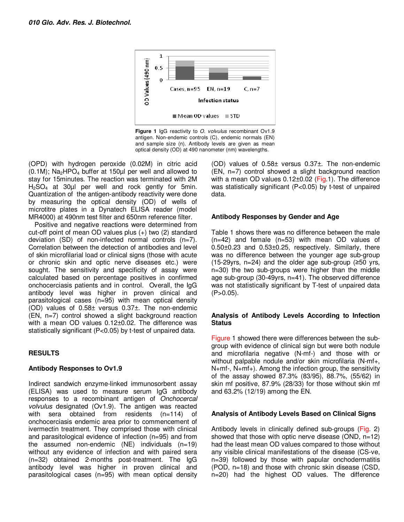

**Figure 1** IgG reactivity to *O. volvulus* recombinant Ov1.9 antigen. Non-endemic controls (C), endemic normals (EN) and sample size (n). Antibody levels are given as mean optical density (OD) at 490 nanometer (nm) wavelengths.

(OPD) with hydrogen peroxide (0.02M) in citric acid  $(0.1M)$ ; Na<sub>2</sub>HPO<sub>4</sub> buffer at 150 $\mu$ I per well and allowed to stay for 15minutes. The reaction was terminated with 2M  $H<sub>2</sub>SO<sub>4</sub>$  at 30µl per well and rock gently for 5min. Quantization of the antigen-antibody reactivity were done by measuring the optical density (OD) of wells of microtitre plates in a Dynatech ELISA reader (model MR4000) at 490nm test filter and 650nm reference filter.

Positive and negative reactions were determined from cut-off point of mean OD values plus (+) two (2) standard deviation (SD) of non-infected normal controls (n=7). Correlation between the detection of antibodies and level of skin microfilarial load or clinical signs (those with acute or chronic skin and optic nerve diseases etc.) were sought. The sensitivity and specificity of assay were calculated based on percentage positives in confirmed onchocerciasis patients and in control. Overall, the IgG antibody level was higher in proven clinical and parasitological cases (n=95) with mean optical density (OD) values of 0.58± versus 0.37±. The non-endemic (EN, n=7) control showed a slight background reaction with a mean OD values 0.12±0.02. The difference was statistically significant (P<0.05) by t-test of unpaired data.

## **RESULTS**

## **Antibody Responses to Ov1.9**

Indirect sandwich enzyme-linked immunosorbent assay (ELISA) was used to measure serum IgG antibody responses to a recombinant antigen of *Onchocercal volvulus* designated (Ov1.9). The antigen was reacted with sera obtained from residents (n=114) of onchocerciasis endemic area prior to commencement of ivermectin treatment. They comprised those with clinical and parasitological evidence of infection (n=95) and from the assumed non-endemic  $(NE)$  individuals  $(n=19)$ without any evidence of infection and with paired sera (n=32) obtained 2-months post-treatment. The IgG antibody level was higher in proven clinical and parasitological cases (n=95) with mean optical density

(OD) values of 0.58± versus 0.37±. The non-endemic (EN, n=7) control showed a slight background reaction with a mean OD values  $0.12\pm0.02$  (Fig.1). The difference was statistically significant (P<0.05) by t-test of unpaired data.

## **Antibody Responses by Gender and Age**

Table 1 shows there was no difference between the male (n=42) and female (n=53) with mean OD values of 0.50±0.23 and 0.53±0.25, respectively. Similarly, there was no difference between the younger age sub-group (15-29 yrs, n=24) and the older age sub-group ( $\geq$ 50 yrs, n=30) the two sub-groups were higher than the middle age sub-group (30-49yrs, n=41). The observed difference was not statistically significant by T-test of unpaired data  $(P>0.05)$ .

#### **Analysis of Antibody Levels According to Infection Status**

Figure 1 showed there were differences between the subgroup with evidence of clinical sign but were both nodule and microfilaria negative (N-mf-) and those with or without palpable nodule and/or skin microfilaria (N-mf+, N+mf-, N+mf+). Among the infection group, the sensitivity of the assay showed 87.3% (83/95), 88.7%, (55/62) in skin mf positive, 87.9% (28/33) for those without skin mf and 63.2% (12/19) among the EN.

## **Analysis of Antibody Levels Based on Clinical Signs**

Antibody levels in clinically defined sub-groups (Fig. 2) showed that those with optic nerve disease (OND, n=12) had the least mean OD values compared to those without any visible clinical manifestations of the disease (CS-ve, n=39) followed by those with papular onchodermatitis (POD, n=18) and those with chronic skin disease (CSD, n=20) had the highest OD values. The difference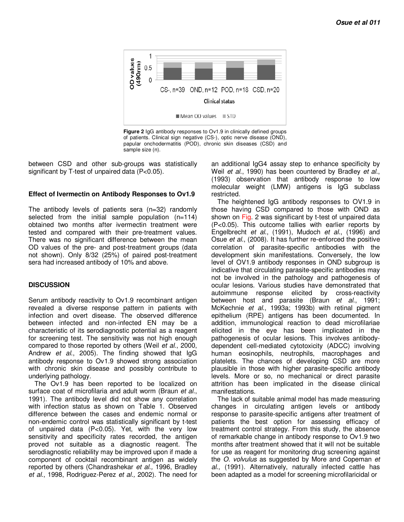

**Figure 2** IgG antibody responses to Ov1.9 in clinically defined groups of patients. Clinical sign negative (CS-), optic nerve disease (OND), papular onchodermatitis (POD), chronic skin diseases (CSD) and sample size (n).

between CSD and other sub-groups was statistically significant by T-test of unpaired data (P<0.05).

#### **Effect of Ivermectin on Antibody Responses to Ov1.9**

The antibody levels of patients sera (n=32) randomly selected from the initial sample population (n=114) obtained two months after ivermectin treatment were tested and compared with their pre-treatment values. There was no significant difference between the mean OD values of the pre- and post-treatment groups (data not shown). Only 8/32 (25%) of paired post-treatment sera had increased antibody of 10% and above.

#### **DISCUSSION**

Serum antibody reactivity to Ov1.9 recombinant antigen revealed a diverse response pattern in patients with infection and overt disease. The observed difference between infected and non-infected EN may be a characteristic of its serodiagnostic potential as a reagent for screening test. The sensitivity was not high enough compared to those reported by others (Weil *et al*., 2000, Andrew *et al*., 2005). The finding showed that IgG antibody response to Ov1.9 showed strong association with chronic skin disease and possibly contribute to underlying pathology.

The Ov1.9 has been reported to be localized on surface coat of microfilaria and adult worm (Braun *et al*., 1991). The antibody level did not show any correlation with infection status as shown on Table 1. Observed difference between the cases and endemic normal or non-endemic control was statistically significant by t-test of unpaired data (P<0.05). Yet, with the very low sensitivity and specificity rates recorded, the antigen proved not suitable as a diagnostic reagent. The serodiagnostic reliability may be improved upon if made a component of cocktail recombinant antigen as widely reported by others (Chandrashekar *et al.,* 1996, Bradley *et al*., 1998, Rodriguez-Perez *et al.,* 2002). The need for an additional IgG4 assay step to enhance specificity by Weil *et al*., 1990) has been countered by Bradley *et al*., (1993) observation that antibody response to low molecular weight (LMW) antigens is IgG subclass restricted.

The heightened IgG antibody responses to OV1.9 in those having CSD compared to those with OND as shown on Fig. 2 was significant by t-test of unpaired data (P<0.05). This outcome tallies with earlier reports by Engelbrecht *et al*., (1991), Mudoch *et al*., (1996) and Osue *et al.*, (2008). It has further re-enforced the positive correlation of parasite-specific antibodies with the development skin manifestations. Conversely, the low level of OV1.9 antibody responses in OND subgroup is indicative that circulating parasite-specific antibodies may not be involved in the pathology and pathogenesis of ocular lesions. Various studies have demonstrated that autoimmune response elicited by cross-reactivity between host and parasite (Braun *et al*., 1991; McKechnie *et al*., 1993a; 1993b) with retinal pigment epithelium (RPE) antigens has been documented. In addition, immunological reaction to dead microfilariae elicited in the eye has been implicated in the pathogenesis of ocular lesions. This involves antibodydependent cell-mediated cytotoxicity (ADCC) involving human eosinophils, neutrophils, macrophages and platelets. The chances of developing CSD are more plausible in those with higher parasite-specific antibody levels. More or so, no mechanical or direct parasite attrition has been implicated in the disease clinical manifestations.

The lack of suitable animal model has made measuring changes in circulating antigen levels or antibody response to parasite-specific antigens after treatment of patients the best option for assessing efficacy of treatment control strategy. From this study, the absence of remarkable change in antibody response to Ov1.9 two months after treatment showed that it will not be suitable for use as reagent for monitoring drug screening against the *O. volvulus* as suggested by More and Copeman *et al*., (1991). Alternatively, naturally infected cattle has been adapted as a model for screening microfilaricidal or